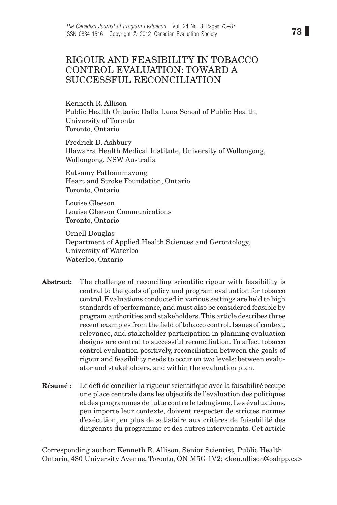# RIGOUR AND FEASIBILITY IN TOBACCO CONTROL EVALUATION: TOWARD A SUCCESSFUL RECONCILIATION

Kenneth R. Allison Public Health Ontario; Dalla Lana School of Public Health, University of Toronto Toronto, Ontario

Fredrick D. Ashbury Illawarra Health Medical Institute, University of Wollongong, Wollongong, NSW Australia

Ratsamy Pathammavong Heart and Stroke Foundation, Ontario Toronto, Ontario

Louise Gleeson Louise Gleeson Communications Toronto, Ontario

Ornell Douglas Department of Applied Health Sciences and Gerontology, University of Waterloo Waterloo, Ontario

- Abstract: The challenge of reconciling scientific rigour with feasibility is central to the goals of policy and program evaluation for tobacco control. Evaluations conducted in various settings are held to high standards of performance, and must also be considered feasible by program authorities and stakeholders. This article describes three recent examples from the field of tobacco control. Issues of context, relevance, and stakeholder participation in planning evaluation designs are central to successful reconciliation. To affect tobacco control evaluation positively, reconciliation between the goals of rigour and feasibility needs to occur on two levels: between evaluator and stakeholders, and within the evaluation plan.
- Résumé : Le défi de concilier la rigueur scientifique avec la faisabilité occupe une place centrale dans les objectifs de l'évaluation des politiques et des programmes de lutte contre le tabagisme. Les évaluations, peu importe leur contexte, doivent respecter de strictes normes d'exécution, en plus de satisfaire aux critères de faisabilité des dirigeants du programme et des autres intervenants. Cet article

Corresponding author: Kenneth R. Allison, Senior Scientist, Public Health Ontario, 480 University Avenue, Toronto, ON M5G 1V2; <ken.allison@oahpp.ca>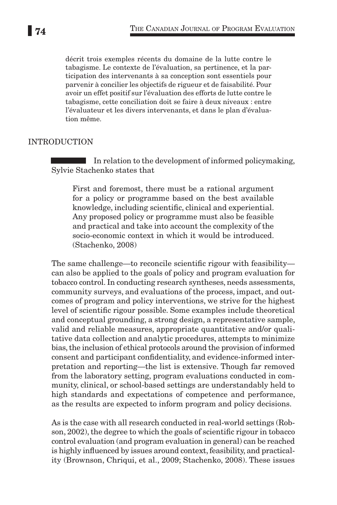décrit trois exemples récents du domaine de la lutte contre le tabagisme. Le contexte de l'évaluation, sa pertinence, et la participation des intervenants à sa conception sont essentiels pour parvenir à concilier les objectifs de rigueur et de faisabilité. Pour avoir un effet positif sur l'évaluation des efforts de lutte contre le tabagisme, cette conciliation doit se faire à deux niveaux : entre l'évaluateur et les divers intervenants, et dans le plan d'évaluation même.

## **INTRODUCTION**

T. In relation to the development of informed policymaking, Sylvie Stachenko states that

First and foremost, there must be a rational argument for a policy or programme based on the best available knowledge, including scientific, clinical and experiential. Any proposed policy or programme must also be feasible and practical and take into account the complexity of the socio-economic context in which it would be introduced. (Stachenko, 2008)

The same challenge—to reconcile scientific rigour with feasibility can also be applied to the goals of policy and program evaluation for tobacco control. In conducting research syntheses, needs assessments, community surveys, and evaluations of the process, impact, and outcomes of program and policy interventions, we strive for the highest level of scientific rigour possible. Some examples include theoretical and conceptual grounding, a strong design, a representative sample, valid and reliable measures, appropriate quantitative and/or qualitative data collection and analytic procedures, attempts to minimize bias, the inclusion of ethical protocols around the provision of informed consent and participant confidentiality, and evidence-informed interpretation and reporting—the list is extensive. Though far removed from the laboratory setting, program evaluations conducted in community, clinical, or school-based settings are understandably held to high standards and expectations of competence and performance, as the results are expected to inform program and policy decisions.

As is the case with all research conducted in real-world settings (Robson, 2002), the degree to which the goals of scientific rigour in tobacco control evaluation (and program evaluation in general) can be reached is highly influenced by issues around context, feasibility, and practicality (Brownson, Chriqui, et al., 2009; Stachenko, 2008). These issues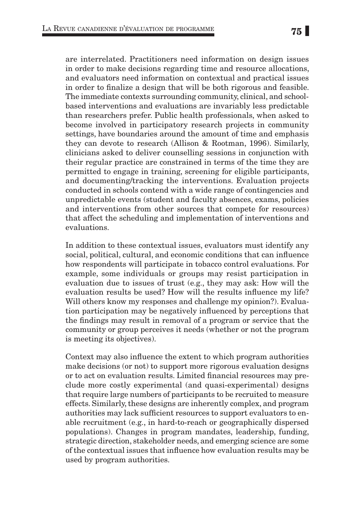are interrelated. Practitioners need information on design issues in order to make decisions regarding time and resource allocations, and evaluators need information on contextual and practical issues in order to finalize a design that will be both rigorous and feasible. The immediate contexts surrounding community, clinical, and schoolbased interventions and evaluations are invariably less predictable than researchers prefer. Public health professionals, when asked to become involved in participatory research projects in community settings, have boundaries around the amount of time and emphasis they can devote to research (Allison & Rootman, 1996). Similarly, clinicians asked to deliver counselling sessions in conjunction with their regular practice are constrained in terms of the time they are permitted to engage in training, screening for eligible participants, and documenting/tracking the interventions. Evaluation projects conducted in schools contend with a wide range of contingencies and unpredictable events (student and faculty absences, exams, policies and interventions from other sources that compete for resources) that affect the scheduling and implementation of interventions and evaluations.

In addition to these contextual issues, evaluators must identify any social, political, cultural, and economic conditions that can influence how respondents will participate in tobacco control evaluations. For example, some individuals or groups may resist participation in evaluation due to issues of trust (e.g., they may ask: How will the evaluation results be used? How will the results influence my life? Will others know my responses and challenge my opinion?). Evaluation participation may be negatively influenced by perceptions that the findings may result in removal of a program or service that the community or group perceives it needs (whether or not the program is meeting its objectives).

Context may also influence the extent to which program authorities make decisions (or not) to support more rigorous evaluation designs or to act on evaluation results. Limited financial resources may preclude more costly experimental (and quasi-experimental) designs that require large numbers of participants to be recruited to measure effects. Similarly, these designs are inherently complex, and program authorities may lack sufficient resources to support evaluators to enable recruitment (e.g., in hard-to-reach or geographically dispersed populations). Changes in program mandates, leadership, funding, strategic direction, stakeholder needs, and emerging science are some of the contextual issues that influence how evaluation results may be used by program authorities.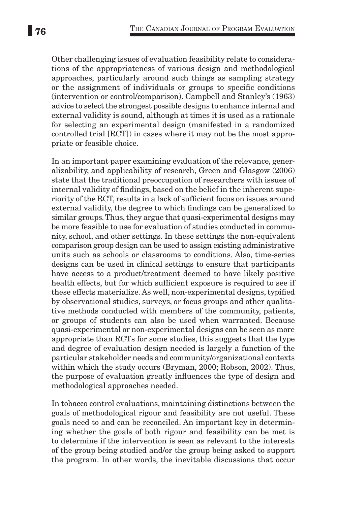Other challenging issues of evaluation feasibility relate to considerations of the appropriateness of various design and methodological approaches, particularly around such things as sampling strategy or the assignment of individuals or groups to specific conditions (intervention or control/comparison). Campbell and Stanley's (1963) advice to select the strongest possible designs to enhance internal and external validity is sound, although at times it is used as a rationale for selecting an experimental design (manifested in a randomized controlled trial [RCT]) in cases where it may not be the most appropriate or feasible choice.

In an important paper examining evaluation of the relevance, generalizability, and applicability of research, Green and Glasgow (2006) state that the traditional preoccupation of researchers with issues of internal validity of findings, based on the belief in the inherent superiority of the RCT, results in a lack of sufficient focus on issues around external validity, the degree to which findings can be generalized to similar groups. Thus, they argue that quasi-experimental designs may be more feasible to use for evaluation of studies conducted in community, school, and other settings. In these settings the non-equivalent comparison group design can be used to assign existing administrative units such as schools or classrooms to conditions. Also, time-series designs can be used in clinical settings to ensure that participants have access to a product/treatment deemed to have likely positive health effects, but for which sufficient exposure is required to see if these effects materialize. As well, non-experimental designs, typified by observational studies, surveys, or focus groups and other qualitative methods conducted with members of the community, patients, or groups of students can also be used when warranted. Because quasi-experimental or non-experimental designs can be seen as more appropriate than RCTs for some studies, this suggests that the type and degree of evaluation design needed is largely a function of the particular stakeholder needs and community/organizational contexts within which the study occurs (Bryman, 2000; Robson, 2002). Thus, the purpose of evaluation greatly influences the type of design and methodological approaches needed.

In tobacco control evaluations, maintaining distinctions between the goals of methodological rigour and feasibility are not useful. These goals need to and can be reconciled. An important key in determining whether the goals of both rigour and feasibility can be met is to determine if the intervention is seen as relevant to the interests of the group being studied and/or the group being asked to support the program. In other words, the inevitable discussions that occur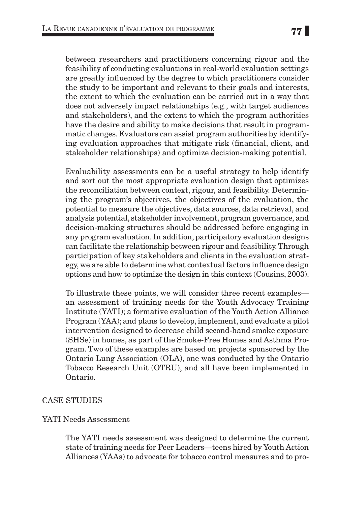between researchers and practitioners concerning rigour and the feasibility of conducting evaluations in real-world evaluation settings are greatly influenced by the degree to which practitioners consider the study to be important and relevant to their goals and interests, the extent to which the evaluation can be carried out in a way that does not adversely impact relationships (e.g., with target audiences and stakeholders), and the extent to which the program authorities have the desire and ability to make decisions that result in programmatic changes. Evaluators can assist program authorities by identifying evaluation approaches that mitigate risk (financial, client, and stakeholder relationships) and optimize decision-making potential.

Evaluability assessments can be a useful strategy to help identify and sort out the most appropriate evaluation design that optimizes the reconciliation between context, rigour, and feasibility. Determining the program's objectives, the objectives of the evaluation, the potential to measure the objectives, data sources, data retrieval, and analysis potential, stakeholder involvement, program governance, and decision-making structures should be addressed before engaging in any program evaluation. In addition, participatory evaluation designs can facilitate the relationship between rigour and feasibility. Through participation of key stakeholders and clients in the evaluation strategy, we are able to determine what contextual factors influence design options and how to optimize the design in this context (Cousins, 2003).

To illustrate these points, we will consider three recent examples an assessment of training needs for the Youth Advocacy Training Institute (YATI); a formative evaluation of the Youth Action Alliance Program (YAA); and plans to develop, implement, and evaluate a pilot intervention designed to decrease child second-hand smoke exposure (SHSe) in homes, as part of the Smoke-Free Homes and Asthma Program. Two of these examples are based on projects sponsored by the Ontario Lung Association (OLA), one was conducted by the Ontario Tobacco Research Unit (OTRU), and all have been implemented in Ontario.

## Case Studies

#### YATI Needs Assessment

The YATI needs assessment was designed to determine the current state of training needs for Peer Leaders—teens hired by Youth Action Alliances (YAAs) to advocate for tobacco control measures and to pro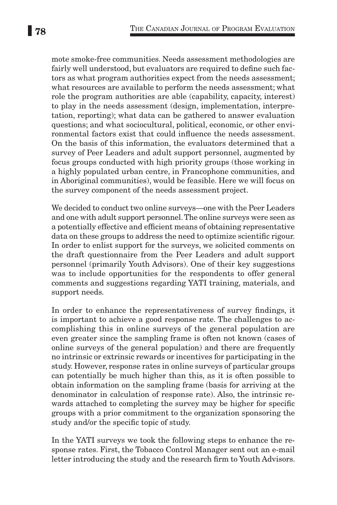mote smoke-free communities. Needs assessment methodologies are fairly well understood, but evaluators are required to define such factors as what program authorities expect from the needs assessment; what resources are available to perform the needs assessment; what role the program authorities are able (capability, capacity, interest) to play in the needs assessment (design, implementation, interpretation, reporting); what data can be gathered to answer evaluation questions; and what sociocultural, political, economic, or other environmental factors exist that could influence the needs assessment. On the basis of this information, the evaluators determined that a survey of Peer Leaders and adult support personnel, augmented by focus groups conducted with high priority groups (those working in a highly populated urban centre, in Francophone communities, and in Aboriginal communities), would be feasible. Here we will focus on the survey component of the needs assessment project.

We decided to conduct two online surveys—one with the Peer Leaders and one with adult support personnel. The online surveys were seen as a potentially effective and efficient means of obtaining representative data on these groups to address the need to optimize scientific rigour. In order to enlist support for the surveys, we solicited comments on the draft questionnaire from the Peer Leaders and adult support personnel (primarily Youth Advisors). One of their key suggestions was to include opportunities for the respondents to offer general comments and suggestions regarding YATI training, materials, and support needs.

In order to enhance the representativeness of survey findings, it is important to achieve a good response rate. The challenges to accomplishing this in online surveys of the general population are even greater since the sampling frame is often not known (cases of online surveys of the general population) and there are frequently no intrinsic or extrinsic rewards or incentives for participating in the study. However, response rates in online surveys of particular groups can potentially be much higher than this, as it is often possible to obtain information on the sampling frame (basis for arriving at the denominator in calculation of response rate). Also, the intrinsic rewards attached to completing the survey may be higher for specific groups with a prior commitment to the organization sponsoring the study and/or the specific topic of study.

In the YATI surveys we took the following steps to enhance the response rates. First, the Tobacco Control Manager sent out an e-mail letter introducing the study and the research firm to Youth Advisors.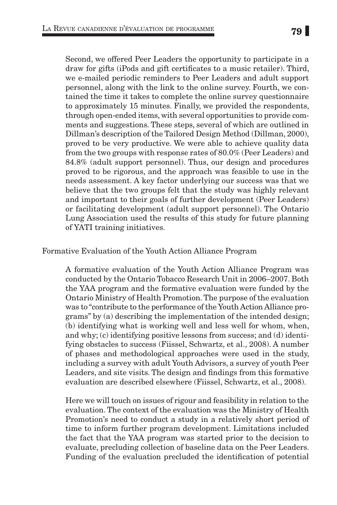Second, we offered Peer Leaders the opportunity to participate in a draw for gifts (iPods and gift certificates to a music retailer). Third, we e-mailed periodic reminders to Peer Leaders and adult support personnel, along with the link to the online survey. Fourth, we contained the time it takes to complete the online survey questionnaire to approximately 15 minutes. Finally, we provided the respondents, through open-ended items, with several opportunities to provide comments and suggestions. These steps, several of which are outlined in Dillman's description of the Tailored Design Method (Dillman, 2000), proved to be very productive. We were able to achieve quality data from the two groups with response rates of 80.0% (Peer Leaders) and 84.8% (adult support personnel). Thus, our design and procedures proved to be rigorous, and the approach was feasible to use in the needs assessment. A key factor underlying our success was that we believe that the two groups felt that the study was highly relevant and important to their goals of further development (Peer Leaders) or facilitating development (adult support personnel). The Ontario Lung Association used the results of this study for future planning of YATI training initiatives.

## Formative Evaluation of the Youth Action Alliance Program

A formative evaluation of the Youth Action Alliance Program was conducted by the Ontario Tobacco Research Unit in 2006–2007. Both the YAA program and the formative evaluation were funded by the Ontario Ministry of Health Promotion. The purpose of the evaluation was to "contribute to the performance of the Youth Action Alliance programs" by (a) describing the implementation of the intended design; (b) identifying what is working well and less well for whom, when, and why; (c) identifying positive lessons from success; and (d) identifying obstacles to success (Fiissel, Schwartz, et al., 2008). A number of phases and methodological approaches were used in the study, including a survey with adult Youth Advisors, a survey of youth Peer Leaders, and site visits. The design and findings from this formative evaluation are described elsewhere (Fiissel, Schwartz, et al., 2008).

Here we will touch on issues of rigour and feasibility in relation to the evaluation. The context of the evaluation was the Ministry of Health Promotion's need to conduct a study in a relatively short period of time to inform further program development. Limitations included the fact that the YAA program was started prior to the decision to evaluate, precluding collection of baseline data on the Peer Leaders. Funding of the evaluation precluded the identification of potential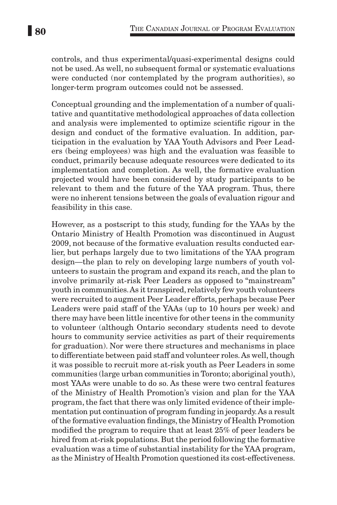controls, and thus experimental/quasi-experimental designs could not be used. As well, no subsequent formal or systematic evaluations were conducted (nor contemplated by the program authorities), so longer-term program outcomes could not be assessed.

Conceptual grounding and the implementation of a number of qualitative and quantitative methodological approaches of data collection and analysis were implemented to optimize scientific rigour in the design and conduct of the formative evaluation. In addition, participation in the evaluation by YAA Youth Advisors and Peer Leaders (being employees) was high and the evaluation was feasible to conduct, primarily because adequate resources were dedicated to its implementation and completion. As well, the formative evaluation projected would have been considered by study participants to be relevant to them and the future of the YAA program. Thus, there were no inherent tensions between the goals of evaluation rigour and feasibility in this case.

However, as a postscript to this study, funding for the YAAs by the Ontario Ministry of Health Promotion was discontinued in August 2009, not because of the formative evaluation results conducted earlier, but perhaps largely due to two limitations of the YAA program design—the plan to rely on developing large numbers of youth volunteers to sustain the program and expand its reach, and the plan to involve primarily at-risk Peer Leaders as opposed to "mainstream" youth in communities. As it transpired, relatively few youth volunteers were recruited to augment Peer Leader efforts, perhaps because Peer Leaders were paid staff of the YAAs (up to 10 hours per week) and there may have been little incentive for other teens in the community to volunteer (although Ontario secondary students need to devote hours to community service activities as part of their requirements for graduation). Nor were there structures and mechanisms in place to differentiate between paid staff and volunteer roles. As well, though it was possible to recruit more at-risk youth as Peer Leaders in some communities (large urban communities in Toronto; aboriginal youth), most YAAs were unable to do so. As these were two central features of the Ministry of Health Promotion's vision and plan for the YAA program, the fact that there was only limited evidence of their implementation put continuation of program funding in jeopardy. As a result of the formative evaluation findings, the Ministry of Health Promotion modified the program to require that at least 25% of peer leaders be hired from at-risk populations. But the period following the formative evaluation was a time of substantial instability for the YAA program, as the Ministry of Health Promotion questioned its cost-effectiveness.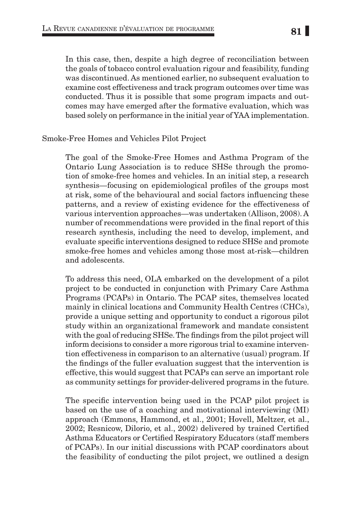In this case, then, despite a high degree of reconciliation between the goals of tobacco control evaluation rigour and feasibility, funding was discontinued. As mentioned earlier, no subsequent evaluation to examine cost effectiveness and track program outcomes over time was conducted. Thus it is possible that some program impacts and outcomes may have emerged after the formative evaluation, which was based solely on performance in the initial year of YAA implementation.

## Smoke-Free Homes and Vehicles Pilot Project

The goal of the Smoke-Free Homes and Asthma Program of the Ontario Lung Association is to reduce SHSe through the promotion of smoke-free homes and vehicles. In an initial step, a research synthesis—focusing on epidemiological profiles of the groups most at risk, some of the behavioural and social factors influencing these patterns, and a review of existing evidence for the effectiveness of various intervention approaches—was undertaken (Allison, 2008). A number of recommendations were provided in the final report of this research synthesis, including the need to develop, implement, and evaluate specific interventions designed to reduce SHSe and promote smoke-free homes and vehicles among those most at-risk—children and adolescents.

To address this need, OLA embarked on the development of a pilot project to be conducted in conjunction with Primary Care Asthma Programs (PCAPs) in Ontario. The PCAP sites, themselves located mainly in clinical locations and Community Health Centres (CHCs), provide a unique setting and opportunity to conduct a rigorous pilot study within an organizational framework and mandate consistent with the goal of reducing SHSe. The findings from the pilot project will inform decisions to consider a more rigorous trial to examine intervention effectiveness in comparison to an alternative (usual) program. If the findings of the fuller evaluation suggest that the intervention is effective, this would suggest that PCAPs can serve an important role as community settings for provider-delivered programs in the future.

The specific intervention being used in the PCAP pilot project is based on the use of a coaching and motivational interviewing (MI) approach (Emmons, Hammond, et al., 2001; Hovell, Meltzer, et al., 2002; Resnicow, Dilorio, et al., 2002) delivered by trained Certified Asthma Educators or Certified Respiratory Educators (staff members of PCAPs). In our initial discussions with PCAP coordinators about the feasibility of conducting the pilot project, we outlined a design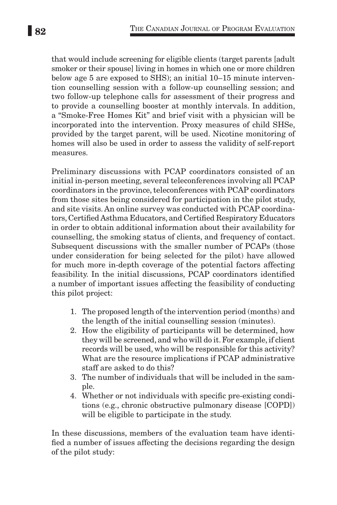that would include screening for eligible clients (target parents [adult smoker or their spouse] living in homes in which one or more children below age 5 are exposed to SHS); an initial 10–15 minute intervention counselling session with a follow-up counselling session; and two follow-up telephone calls for assessment of their progress and to provide a counselling booster at monthly intervals. In addition, a "Smoke-Free Homes Kit" and brief visit with a physician will be incorporated into the intervention. Proxy measures of child SHSe, provided by the target parent, will be used. Nicotine monitoring of homes will also be used in order to assess the validity of self-report measures.

Preliminary discussions with PCAP coordinators consisted of an initial in-person meeting, several teleconferences involving all PCAP coordinators in the province, teleconferences with PCAP coordinators from those sites being considered for participation in the pilot study, and site visits. An online survey was conducted with PCAP coordinators, Certified Asthma Educators, and Certified Respiratory Educators in order to obtain additional information about their availability for counselling, the smoking status of clients, and frequency of contact. Subsequent discussions with the smaller number of PCAPs (those under consideration for being selected for the pilot) have allowed for much more in-depth coverage of the potential factors affecting feasibility. In the initial discussions, PCAP coordinators identified a number of important issues affecting the feasibility of conducting this pilot project:

- 1. The proposed length of the intervention period (months) and the length of the initial counselling session (minutes).
- 2. How the eligibility of participants will be determined, how they will be screened, and who will do it. For example, if client records will be used, who will be responsible for this activity? What are the resource implications if PCAP administrative staff are asked to do this?
- 3. The number of individuals that will be included in the sample.
- 4. Whether or not individuals with specific pre-existing conditions (e.g., chronic obstructive pulmonary disease [COPD]) will be eligible to participate in the study.

In these discussions, members of the evaluation team have identified a number of issues affecting the decisions regarding the design of the pilot study: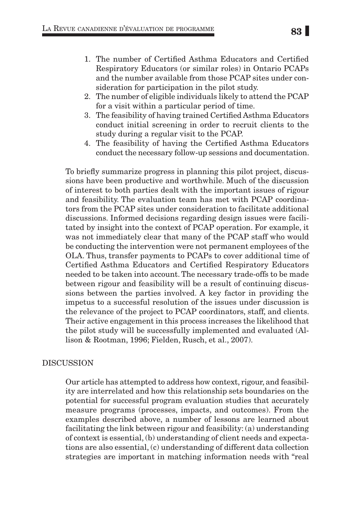- 1. The number of Certified Asthma Educators and Certified Respiratory Educators (or similar roles) in Ontario PCAPs and the number available from those PCAP sites under consideration for participation in the pilot study.
- 2. The number of eligible individuals likely to attend the PCAP for a visit within a particular period of time.
- 3. The feasibility of having trained Certified Asthma Educators conduct initial screening in order to recruit clients to the study during a regular visit to the PCAP.
- 4. The feasibility of having the Certified Asthma Educators conduct the necessary follow-up sessions and documentation.

To briefly summarize progress in planning this pilot project, discussions have been productive and worthwhile. Much of the discussion of interest to both parties dealt with the important issues of rigour and feasibility. The evaluation team has met with PCAP coordinators from the PCAP sites under consideration to facilitate additional discussions. Informed decisions regarding design issues were facilitated by insight into the context of PCAP operation. For example, it was not immediately clear that many of the PCAP staff who would be conducting the intervention were not permanent employees of the OLA. Thus, transfer payments to PCAPs to cover additional time of Certified Asthma Educators and Certified Respiratory Educators needed to be taken into account. The necessary trade-offs to be made between rigour and feasibility will be a result of continuing discussions between the parties involved. A key factor in providing the impetus to a successful resolution of the issues under discussion is the relevance of the project to PCAP coordinators, staff, and clients. Their active engagement in this process increases the likelihood that the pilot study will be successfully implemented and evaluated (Allison & Rootman, 1996; Fielden, Rusch, et al., 2007).

## Discussion

Our article has attempted to address how context, rigour, and feasibility are interrelated and how this relationship sets boundaries on the potential for successful program evaluation studies that accurately measure programs (processes, impacts, and outcomes). From the examples described above, a number of lessons are learned about facilitating the link between rigour and feasibility: (a) understanding of context is essential, (b) understanding of client needs and expectations are also essential, (c) understanding of different data collection strategies are important in matching information needs with "real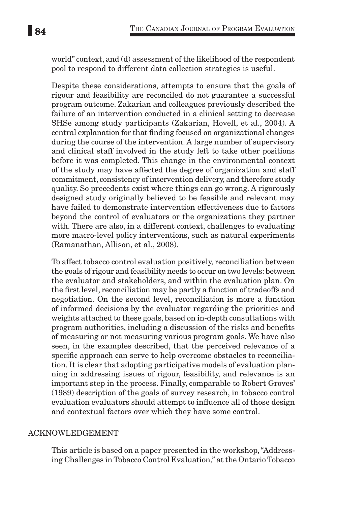world" context, and (d) assessment of the likelihood of the respondent pool to respond to different data collection strategies is useful.

Despite these considerations, attempts to ensure that the goals of rigour and feasibility are reconciled do not guarantee a successful program outcome. Zakarian and colleagues previously described the failure of an intervention conducted in a clinical setting to decrease SHSe among study participants (Zakarian, Hovell, et al., 2004). A central explanation for that finding focused on organizational changes during the course of the intervention. A large number of supervisory and clinical staff involved in the study left to take other positions before it was completed. This change in the environmental context of the study may have affected the degree of organization and staff commitment, consistency of intervention delivery, and therefore study quality. So precedents exist where things can go wrong. A rigorously designed study originally believed to be feasible and relevant may have failed to demonstrate intervention effectiveness due to factors beyond the control of evaluators or the organizations they partner with. There are also, in a different context, challenges to evaluating more macro-level policy interventions, such as natural experiments (Ramanathan, Allison, et al., 2008).

To affect tobacco control evaluation positively, reconciliation between the goals of rigour and feasibility needs to occur on two levels: between the evaluator and stakeholders, and within the evaluation plan. On the first level, reconciliation may be partly a function of tradeoffs and negotiation. On the second level, reconciliation is more a function of informed decisions by the evaluator regarding the priorities and weights attached to these goals, based on in-depth consultations with program authorities, including a discussion of the risks and benefits of measuring or not measuring various program goals. We have also seen, in the examples described, that the perceived relevance of a specific approach can serve to help overcome obstacles to reconciliation. It is clear that adopting participative models of evaluation planning in addressing issues of rigour, feasibility, and relevance is an important step in the process. Finally, comparable to Robert Groves' (1989) description of the goals of survey research, in tobacco control evaluation evaluators should attempt to influence all of those design and contextual factors over which they have some control.

## Acknowledgement

This article is based on a paper presented in the workshop, "Addressing Challenges in Tobacco Control Evaluation," at the Ontario Tobacco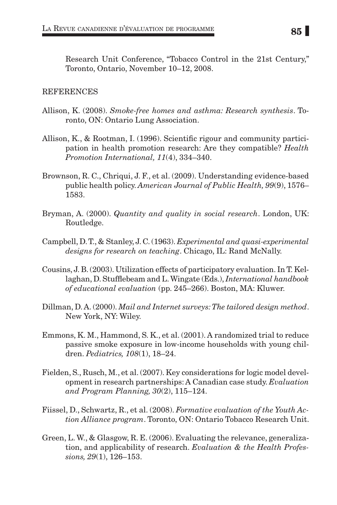Research Unit Conference, "Tobacco Control in the 21st Century," Toronto, Ontario, November 10–12, 2008.

#### **REFERENCES**

- Allison, K. (2008). *Smoke-free homes and asthma: Research synthesis*. Toronto, ON: Ontario Lung Association.
- Allison, K., & Rootman, I. (1996). Scientific rigour and community participation in health promotion research: Are they compatible? *Health Promotion International, 11*(4), 334–340.
- Brownson, R. C., Chriqui, J. F., et al. (2009). Understanding evidence-based public health policy. *American Journal of Public Health, 99*(9), 1576– 1583.
- Bryman, A. (2000). *Quantity and quality in social research*. London, UK: Routledge.
- Campbell, D. T., & Stanley, J. C. (1963). *Experimental and quasi-experimental designs for research on teaching*. Chicago, IL: Rand McNally.
- Cousins, J. B. (2003). Utilization effects of participatory evaluation. In T. Kellaghan, D. Stufflebeam and L. Wingate (Eds.), *International handbook of educational evaluation* (pp. 245–266). Boston, MA: Kluwer.
- Dillman, D. A. (2000). *Mail and Internet surveys: The tailored design method*. New York, NY: Wiley.
- Emmons, K. M., Hammond, S. K., et al. (2001). A randomized trial to reduce passive smoke exposure in low-income households with young children. *Pediatrics, 108*(1), 18–24.
- Fielden, S., Rusch, M., et al. (2007). Key considerations for logic model development in research partnerships: A Canadian case study. *Evaluation and Program Planning, 30*(2), 115–124.
- Fiissel, D., Schwartz, R., et al. (2008). *Formative evaluation of the Youth Action Alliance program*. Toronto, ON: Ontario Tobacco Research Unit.
- Green, L. W., & Glasgow, R. E. (2006). Evaluating the relevance, generalization, and applicability of research. *Evaluation & the Health Professions, 29*(1), 126–153.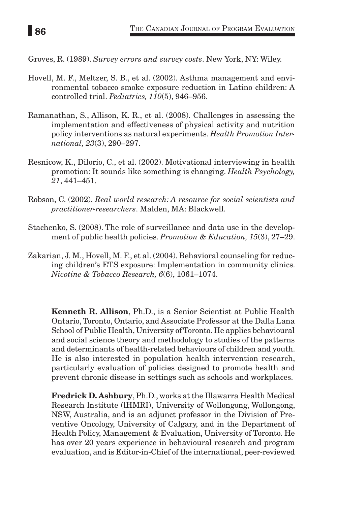Groves, R. (1989). *Survey errors and survey costs*. New York, NY: Wiley.

- Hovell, M. F., Meltzer, S. B., et al. (2002). Asthma management and environmental tobacco smoke exposure reduction in Latino children: A controlled trial. *Pediatrics, 110*(5), 946–956.
- Ramanathan, S., Allison, K. R., et al. (2008). Challenges in assessing the implementation and effectiveness of physical activity and nutrition policy interventions as natural experiments. *Health Promotion International, 23*(3), 290–297.
- Resnicow, K., Dilorio, C., et al. (2002). Motivational interviewing in health promotion: It sounds like something is changing. *Health Psychology, 21*, 441–451.
- Robson, C. (2002). *Real world research: A resource for social scientists and practitioner-researchers*. Malden, MA: Blackwell.
- Stachenko, S. (2008). The role of surveillance and data use in the development of public health policies. *Promotion & Education, 15*(3), 27–29.
- Zakarian, J. M., Hovell, M. F., et al. (2004). Behavioral counseling for reducing children's ETS exposure: Implementation in community clinics. *Nicotine & Tobacco Research, 6*(6), 1061–1074.

Kenneth R. Allison, Ph.D., is a Senior Scientist at Public Health Ontario, Toronto, Ontario, and Associate Professor at the Dalla Lana School of Public Health, University of Toronto. He applies behavioural and social science theory and methodology to studies of the patterns and determinants of health-related behaviours of children and youth. He is also interested in population health intervention research, particularly evaluation of policies designed to promote health and prevent chronic disease in settings such as schools and workplaces.

Fredrick D. Ashbury, Ph.D., works at the Illawarra Health Medical Research lnstitute (lHMRI), University of Wollongong, Wollongong, NSW, Australia, and is an adjunct professor in the Division of Preventive Oncology, University of Calgary, and in the Department of Health Policy, Management & Evaluation, University of Toronto. He has over 20 years experience in behavioural research and program evaluation, and is Editor-in-Chief of the international, peer-reviewed